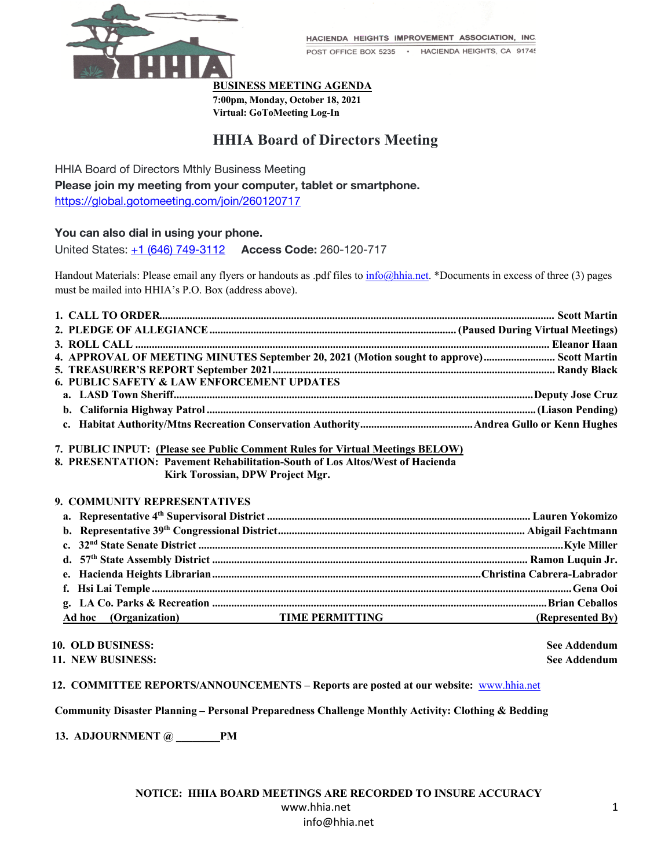

HACIENDA HEIGHTS IMPROVEMENT ASSOCIATION, INC.

POST OFFICE BOX 5235 · HACIENDA HEIGHTS, CA 91745

**BUSINESS MEETING AGENDA**

**7:00pm, Monday, October 18, 2021 Virtual: GoToMeeting Log-In**

# **HHIA Board of Directors Meeting**

HHIA Board of Directors Mthly Business Meeting

**Please join my meeting from your computer, tablet or smartphone.** https://global.gotomeeting.com/join/260120717

# **You can also dial in using your phone.**

United States: +1 (646) 749-3112 **Access Code:** 260-120-717

Handout Materials: Please email any flyers or handouts as .pdf files to info@hhia.net. \*Documents in excess of three (3) pages must be mailed into HHIA's P.O. Box (address above).

| 4. APPROVAL OF MEETING MINUTES September 20, 2021 (Motion sought to approve) Scott Martin |  |
|-------------------------------------------------------------------------------------------|--|
|                                                                                           |  |
| <b>6. PUBLIC SAFETY &amp; LAW ENFORCEMENT UPDATES</b>                                     |  |
|                                                                                           |  |
|                                                                                           |  |
|                                                                                           |  |

## **7. PUBLIC INPUT: (Please see Public Comment Rules for Virtual Meetings BELOW)**

**8. PRESENTATION: Pavement Rehabilitation-South of Los Altos/West of Hacienda Kirk Torossian, DPW Project Mgr.**

## **9. COMMUNITY REPRESENTATIVES**

| Ad hoc (Organization) TIME PERMITTING | (Represented By) |
|---------------------------------------|------------------|

#### **10. OLD BUSINESS: See Addendum**

**11. NEW BUSINESS: See Addendum**

**12. COMMITTEE REPORTS/ANNOUNCEMENTS – Reports are posted at our website:** www.hhia.net

**Community Disaster Planning – Personal Preparedness Challenge Monthly Activity: Clothing & Bedding**

**13. ADJOURNMENT** @ **PM**